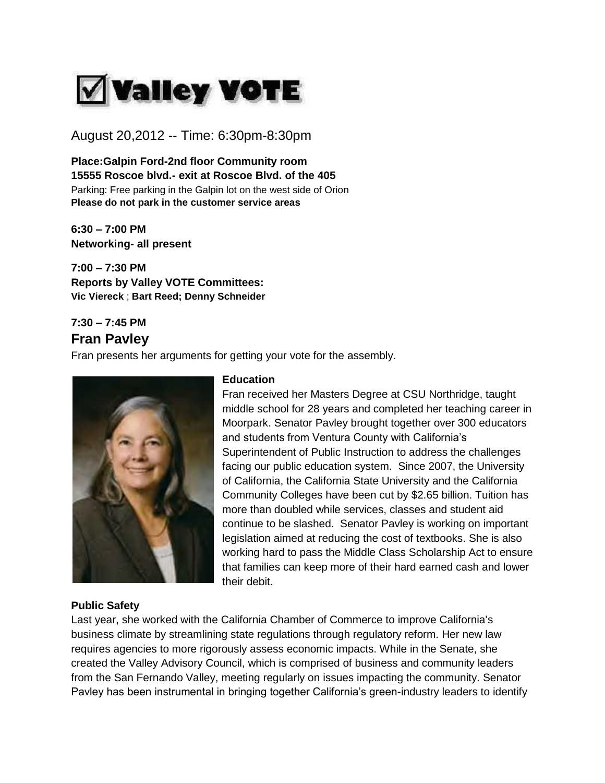

August 20,2012 -- Time: 6:30pm-8:30pm

**Place:Galpin Ford-2nd floor Community room 15555 Roscoe blvd.- exit at Roscoe Blvd. of the 405** Parking: Free parking in the Galpin lot on the west side of Orion **Please do not park in the customer service areas**

**6:30 – 7:00 PM Networking- all present**

**7:00 – 7:30 PM Reports by Valley VOTE Committees: Vic Viereck** ; **Bart Reed; Denny Schneider** 

## **7:30 – 7:45 PM Fran Pavley**

Fran presents her arguments for getting your vote for the assembly.



#### **Education**

Fran received her Masters Degree at CSU Northridge, taught middle school for 28 years and completed her teaching career in Moorpark. Senator Pavley brought together over 300 educators and students from Ventura County with California's Superintendent of Public Instruction to address the challenges facing our public education system. Since 2007, the University of California, the California State University and the California Community Colleges have been cut by \$2.65 billion. Tuition has more than doubled while services, classes and student aid continue to be slashed. Senator Pavley is working on important legislation aimed at reducing the cost of textbooks. She is also working hard to pass the Middle Class Scholarship Act to ensure that families can keep more of their hard earned cash and lower their debit.

#### **Public Safety**

Last year, she worked with the California Chamber of Commerce to improve California's business climate by streamlining state regulations through regulatory reform. Her new law requires agencies to more rigorously assess economic impacts. While in the Senate, she created the Valley Advisory Council, which is comprised of business and community leaders from the San Fernando Valley, meeting regularly on issues impacting the community. Senator Pavley has been instrumental in bringing together California's green-industry leaders to identify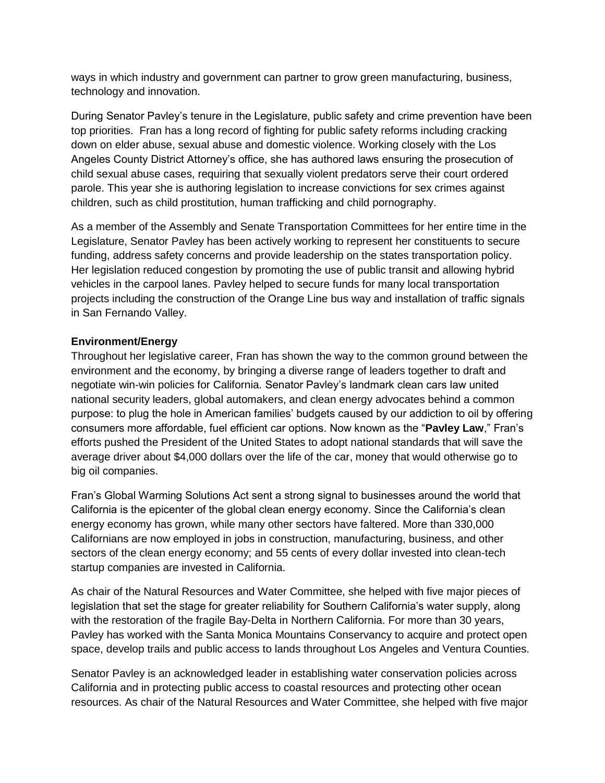ways in which industry and government can partner to grow green manufacturing, business, technology and innovation.

During Senator Pavley's tenure in the Legislature, public safety and crime prevention have been top priorities. Fran has a long record of fighting for public safety reforms including cracking down on elder abuse, sexual abuse and domestic violence. Working closely with the Los Angeles County District Attorney's office, she has authored laws ensuring the prosecution of child sexual abuse cases, requiring that sexually violent predators serve their court ordered parole. This year she is authoring legislation to increase convictions for sex crimes against children, such as child prostitution, human trafficking and child pornography.

As a member of the Assembly and Senate Transportation Committees for her entire time in the Legislature, Senator Pavley has been actively working to represent her constituents to secure funding, address safety concerns and provide leadership on the states transportation policy. Her legislation reduced congestion by promoting the use of public transit and allowing hybrid vehicles in the carpool lanes. Pavley helped to secure funds for many local transportation projects including the construction of the Orange Line bus way and installation of traffic signals in San Fernando Valley.

#### **Environment/Energy**

Throughout her legislative career, Fran has shown the way to the common ground between the environment and the economy, by bringing a diverse range of leaders together to draft and negotiate win-win policies for California. Senator Pavley's landmark clean cars law united national security leaders, global automakers, and clean energy advocates behind a common purpose: to plug the hole in American families' budgets caused by our addiction to oil by offering consumers more affordable, fuel efficient car options. Now known as the "**Pavley Law**," Fran's efforts pushed the President of the United States to adopt national standards that will save the average driver about \$4,000 dollars over the life of the car, money that would otherwise go to big oil companies.

Fran's Global Warming Solutions Act sent a strong signal to businesses around the world that California is the epicenter of the global clean energy economy. Since the California's clean energy economy has grown, while many other sectors have faltered. More than 330,000 Californians are now employed in jobs in construction, manufacturing, business, and other sectors of the clean energy economy; and 55 cents of every dollar invested into clean-tech startup companies are invested in California.

As chair of the Natural Resources and Water Committee, she helped with five major pieces of legislation that set the stage for greater reliability for Southern California's water supply, along with the restoration of the fragile Bay-Delta in Northern California. For more than 30 years, Pavley has worked with the Santa Monica Mountains Conservancy to acquire and protect open space, develop trails and public access to lands throughout Los Angeles and Ventura Counties.

Senator Pavley is an acknowledged leader in establishing water conservation policies across California and in protecting public access to coastal resources and protecting other ocean resources. As chair of the Natural Resources and Water Committee, she helped with five major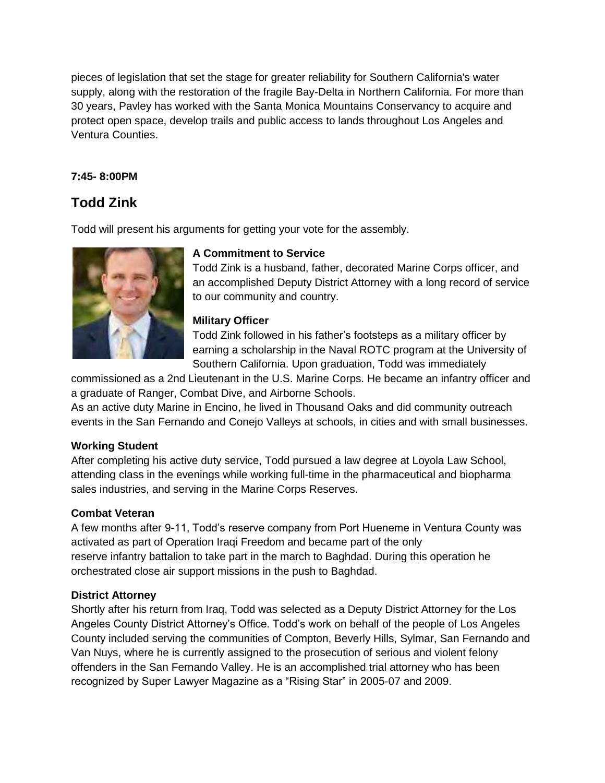pieces of legislation that set the stage for greater reliability for Southern California's water supply, along with the restoration of the fragile Bay-Delta in Northern California. For more than 30 years, Pavley has worked with the Santa Monica Mountains Conservancy to acquire and protect open space, develop trails and public access to lands throughout Los Angeles and Ventura Counties.

## **7:45- 8:00PM**

# **Todd Zink**

Todd will present his arguments for getting your vote for the assembly.



## **A Commitment to Service**

Todd Zink is a husband, father, decorated Marine Corps officer, and an accomplished Deputy District Attorney with a long record of service to our community and country.

## **Military Officer**

Todd Zink followed in his father's footsteps as a military officer by earning a scholarship in the Naval ROTC program at the University of Southern California. Upon graduation, Todd was immediately

commissioned as a 2nd Lieutenant in the U.S. Marine Corps. He became an infantry officer and a graduate of Ranger, Combat Dive, and Airborne Schools.

As an active duty Marine in Encino, he lived in Thousand Oaks and did community outreach events in the San Fernando and Conejo Valleys at schools, in cities and with small businesses.

## **Working Student**

After completing his active duty service, Todd pursued a law degree at Loyola Law School, attending class in the evenings while working full-time in the pharmaceutical and biopharma sales industries, and serving in the Marine Corps Reserves.

## **Combat Veteran**

A few months after 9-11, Todd's reserve company from Port Hueneme in Ventura County was activated as part of Operation Iraqi Freedom and became part of the only reserve infantry battalion to take part in the march to Baghdad. During this operation he orchestrated close air support missions in the push to Baghdad.

## **District Attorney**

Shortly after his return from Iraq, Todd was selected as a Deputy District Attorney for the Los Angeles County District Attorney's Office. Todd's work on behalf of the people of Los Angeles County included serving the communities of Compton, Beverly Hills, Sylmar, San Fernando and Van Nuys, where he is currently assigned to the prosecution of serious and violent felony offenders in the San Fernando Valley. He is an accomplished trial attorney who has been recognized by Super Lawyer Magazine as a "Rising Star" in 2005-07 and 2009.